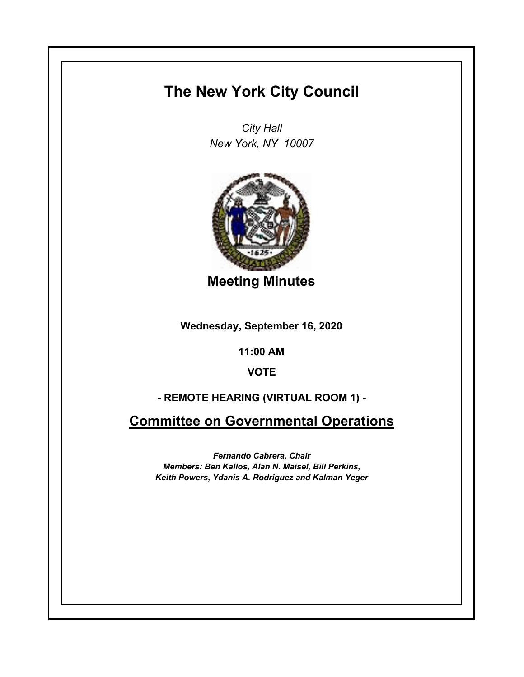# **The New York City Council**

*City Hall New York, NY 10007*



**Meeting Minutes**

**Wednesday, September 16, 2020**

**11:00 AM**

**VOTE**

# **- REMOTE HEARING (VIRTUAL ROOM 1) -**

**Committee on Governmental Operations**

*Fernando Cabrera, Chair Members: Ben Kallos, Alan N. Maisel, Bill Perkins, Keith Powers, Ydanis A. Rodriguez and Kalman Yeger*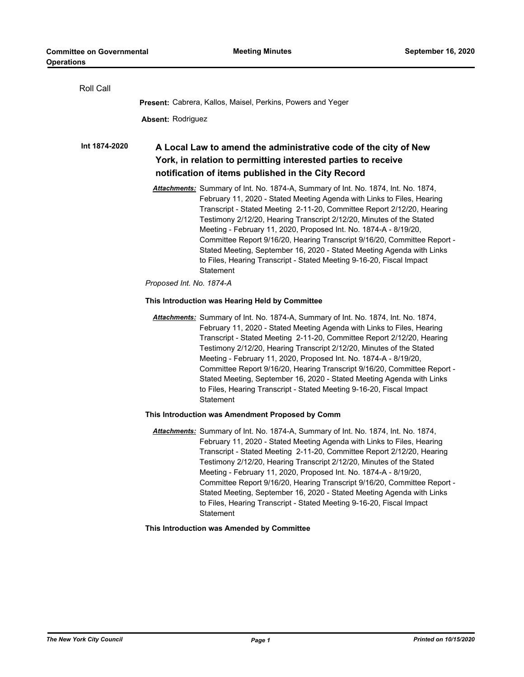| Roll Call     |                                                                                                                                                                                                                                                                                                                                                                                                                                                                                                                                                                                                                                                         |
|---------------|---------------------------------------------------------------------------------------------------------------------------------------------------------------------------------------------------------------------------------------------------------------------------------------------------------------------------------------------------------------------------------------------------------------------------------------------------------------------------------------------------------------------------------------------------------------------------------------------------------------------------------------------------------|
|               | Present: Cabrera, Kallos, Maisel, Perkins, Powers and Yeger                                                                                                                                                                                                                                                                                                                                                                                                                                                                                                                                                                                             |
|               | <b>Absent: Rodriguez</b>                                                                                                                                                                                                                                                                                                                                                                                                                                                                                                                                                                                                                                |
| Int 1874-2020 | A Local Law to amend the administrative code of the city of New<br>York, in relation to permitting interested parties to receive<br>notification of items published in the City Record                                                                                                                                                                                                                                                                                                                                                                                                                                                                  |
|               | Attachments: Summary of Int. No. 1874-A, Summary of Int. No. 1874, Int. No. 1874,<br>February 11, 2020 - Stated Meeting Agenda with Links to Files, Hearing<br>Transcript - Stated Meeting 2-11-20, Committee Report 2/12/20, Hearing<br>Testimony 2/12/20, Hearing Transcript 2/12/20, Minutes of the Stated<br>Meeting - February 11, 2020, Proposed Int. No. 1874-A - 8/19/20,<br>Committee Report 9/16/20, Hearing Transcript 9/16/20, Committee Report -<br>Stated Meeting, September 16, 2020 - Stated Meeting Agenda with Links<br>to Files, Hearing Transcript - Stated Meeting 9-16-20, Fiscal Impact<br>Statement<br>Proposed Int. No. 1874-A |
|               | This Introduction was Hearing Held by Committee                                                                                                                                                                                                                                                                                                                                                                                                                                                                                                                                                                                                         |
|               | Attachments: Summary of Int. No. 1874-A, Summary of Int. No. 1874, Int. No. 1874,<br>February 11, 2020 - Stated Meeting Agenda with Links to Files, Hearing<br>Transcript - Stated Meeting 2-11-20, Committee Report 2/12/20, Hearing<br>Testimony 2/12/20, Hearing Transcript 2/12/20, Minutes of the Stated<br>Meeting - February 11, 2020, Proposed Int. No. 1874-A - 8/19/20,<br>Committee Report 9/16/20, Hearing Transcript 9/16/20, Committee Report -<br>Stated Meeting, September 16, 2020 - Stated Meeting Agenda with Links<br>to Files, Hearing Transcript - Stated Meeting 9-16-20, Fiscal Impact<br>Statement                             |
|               | This Introduction was Amendment Proposed by Comm                                                                                                                                                                                                                                                                                                                                                                                                                                                                                                                                                                                                        |
|               | Attachments: Summary of Int. No. 1874-A, Summary of Int. No. 1874, Int. No. 1874,<br>February 11, 2020 - Stated Meeting Agenda with Links to Files, Hearing<br>Transcript - Stated Meeting 2-11-20, Committee Report 2/12/20, Hearing<br>Testimony 2/12/20, Hearing Transcript 2/12/20, Minutes of the Stated<br>Meeting - February 11, 2020, Proposed Int. No. 1874-A - 8/19/20,<br>Committee Report 9/16/20, Hearing Transcript 9/16/20, Committee Report -<br>Stated Meeting, September 16, 2020 - Stated Meeting Agenda with Links<br>to Files, Hearing Transcript - Stated Meeting 9-16-20, Fiscal Impact<br>Statement                             |
|               | This Introduction was Amended by Committee                                                                                                                                                                                                                                                                                                                                                                                                                                                                                                                                                                                                              |
|               |                                                                                                                                                                                                                                                                                                                                                                                                                                                                                                                                                                                                                                                         |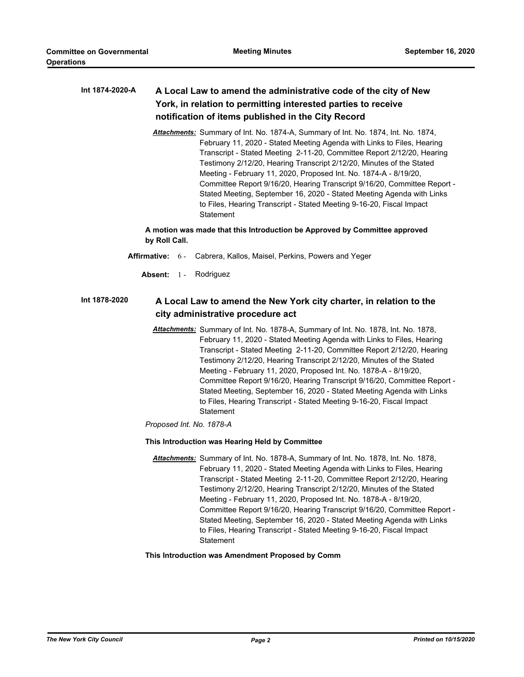### **A Local Law to amend the administrative code of the city of New York, in relation to permitting interested parties to receive notification of items published in the City Record Int 1874-2020-A**

*Attachments:* Summary of Int. No. 1874-A, Summary of Int. No. 1874, Int. No. 1874, February 11, 2020 - Stated Meeting Agenda with Links to Files, Hearing Transcript - Stated Meeting 2-11-20, Committee Report 2/12/20, Hearing Testimony 2/12/20, Hearing Transcript 2/12/20, Minutes of the Stated Meeting - February 11, 2020, Proposed Int. No. 1874-A - 8/19/20, Committee Report 9/16/20, Hearing Transcript 9/16/20, Committee Report - Stated Meeting, September 16, 2020 - Stated Meeting Agenda with Links to Files, Hearing Transcript - Stated Meeting 9-16-20, Fiscal Impact **Statement** 

# **A motion was made that this Introduction be Approved by Committee approved by Roll Call.**

- **Affirmative:** 6 Cabrera, Kallos, Maisel, Perkins, Powers and Yeger
	- Absent: 1 Rodriguez

#### **A Local Law to amend the New York city charter, in relation to the city administrative procedure act Int 1878-2020**

*Attachments:* Summary of Int. No. 1878-A, Summary of Int. No. 1878, Int. No. 1878, February 11, 2020 - Stated Meeting Agenda with Links to Files, Hearing Transcript - Stated Meeting 2-11-20, Committee Report 2/12/20, Hearing Testimony 2/12/20, Hearing Transcript 2/12/20, Minutes of the Stated Meeting - February 11, 2020, Proposed Int. No. 1878-A - 8/19/20, Committee Report 9/16/20, Hearing Transcript 9/16/20, Committee Report - Stated Meeting, September 16, 2020 - Stated Meeting Agenda with Links to Files, Hearing Transcript - Stated Meeting 9-16-20, Fiscal Impact **Statement** 

*Proposed Int. No. 1878-A*

## **This Introduction was Hearing Held by Committee**

*Attachments:* Summary of Int. No. 1878-A, Summary of Int. No. 1878, Int. No. 1878, February 11, 2020 - Stated Meeting Agenda with Links to Files, Hearing Transcript - Stated Meeting 2-11-20, Committee Report 2/12/20, Hearing Testimony 2/12/20, Hearing Transcript 2/12/20, Minutes of the Stated Meeting - February 11, 2020, Proposed Int. No. 1878-A - 8/19/20, Committee Report 9/16/20, Hearing Transcript 9/16/20, Committee Report - Stated Meeting, September 16, 2020 - Stated Meeting Agenda with Links to Files, Hearing Transcript - Stated Meeting 9-16-20, Fiscal Impact **Statement** 

**This Introduction was Amendment Proposed by Comm**